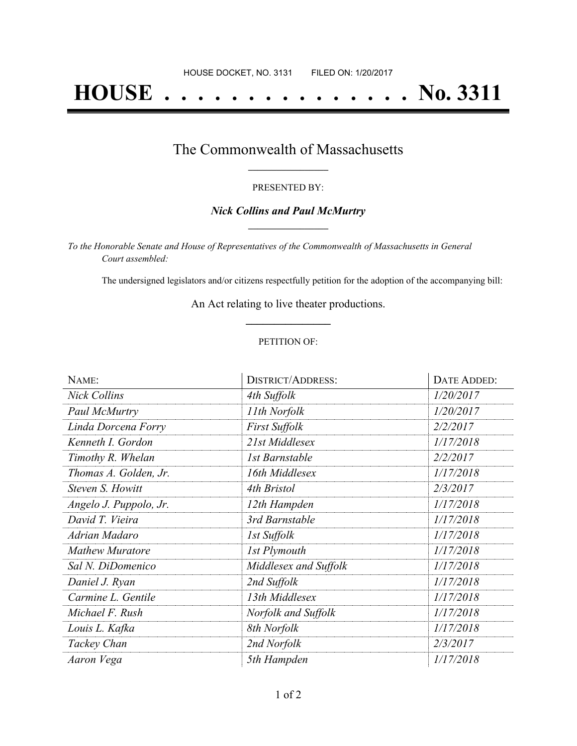# **HOUSE . . . . . . . . . . . . . . . No. 3311**

### The Commonwealth of Massachusetts **\_\_\_\_\_\_\_\_\_\_\_\_\_\_\_\_\_**

#### PRESENTED BY:

#### *Nick Collins and Paul McMurtry* **\_\_\_\_\_\_\_\_\_\_\_\_\_\_\_\_\_**

*To the Honorable Senate and House of Representatives of the Commonwealth of Massachusetts in General Court assembled:*

The undersigned legislators and/or citizens respectfully petition for the adoption of the accompanying bill:

An Act relating to live theater productions. **\_\_\_\_\_\_\_\_\_\_\_\_\_\_\_**

#### PETITION OF:

| NAME:                  | <b>DISTRICT/ADDRESS:</b> | <b>DATE ADDED:</b> |
|------------------------|--------------------------|--------------------|
| <b>Nick Collins</b>    | 4th Suffolk              | 1/20/2017          |
| Paul McMurtry          | 11th Norfolk             | 1/20/2017          |
| Linda Dorcena Forry    | First Suffolk            | 2/2/2017           |
| Kenneth I. Gordon      | 21st Middlesex           | 1/17/2018          |
| Timothy R. Whelan      | 1st Barnstable           | 2/2/2017           |
| Thomas A. Golden, Jr.  | 16th Middlesex           | 1/17/2018          |
| Steven S. Howitt       | 4th Bristol              | 2/3/2017           |
| Angelo J. Puppolo, Jr. | 12th Hampden             | 1/17/2018          |
| David T. Vieira        | 3rd Barnstable           | 1/17/2018          |
| Adrian Madaro          | 1st Suffolk              | 1/17/2018          |
| <b>Mathew Muratore</b> | 1st Plymouth             | 1/17/2018          |
| Sal N. DiDomenico      | Middlesex and Suffolk    | 1/17/2018          |
| Daniel J. Ryan         | 2nd Suffolk              | 1/17/2018          |
| Carmine L. Gentile     | 13th Middlesex           | 1/17/2018          |
| Michael F. Rush        | Norfolk and Suffolk      | 1/17/2018          |
| Louis L. Kafka         | 8th Norfolk              | 1/17/2018          |
| Tackey Chan            | 2nd Norfolk              | 2/3/2017           |
| Aaron Vega             | 5th Hampden              | 1/17/2018          |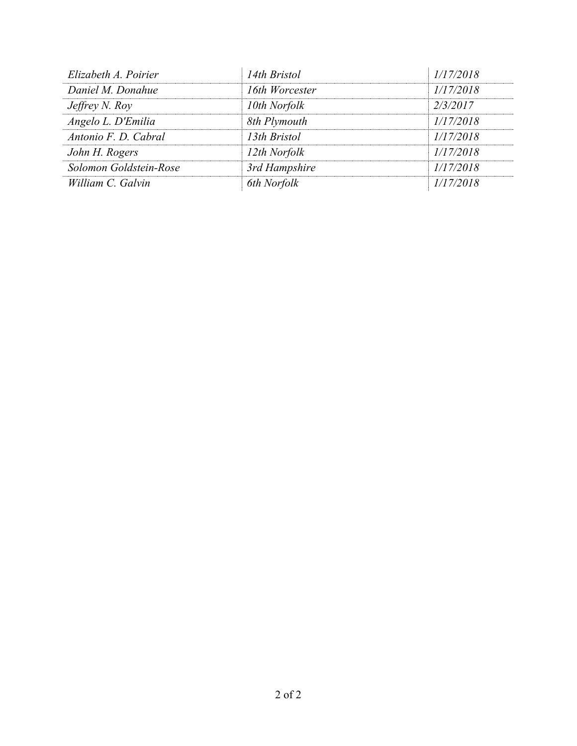| Elizabeth A. Poirier   | 14th Bristol   | 1/17/2018 |
|------------------------|----------------|-----------|
| Daniel M. Donahue      | 16th Worcester | 1/17/2018 |
| Jeffrey N. Roy         | 10th Norfolk   | 2/3/2017  |
| Angelo L. D'Emilia     | 8th Plymouth   | 1/17/2018 |
| Antonio F. D. Cabral   | 13th Bristol   | 1/17/2018 |
| John H. Rogers         | 12th Norfolk   | 1/17/2018 |
| Solomon Goldstein-Rose | 3rd Hampshire  | 1/17/2018 |
| William C. Galvin      | 6th Norfolk    | 1/17/2018 |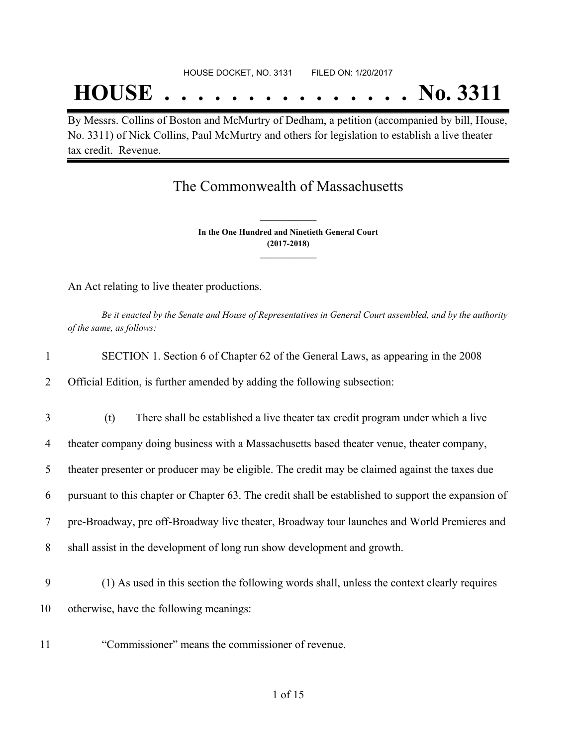## **HOUSE . . . . . . . . . . . . . . . No. 3311**

By Messrs. Collins of Boston and McMurtry of Dedham, a petition (accompanied by bill, House, No. 3311) of Nick Collins, Paul McMurtry and others for legislation to establish a live theater tax credit. Revenue.

## The Commonwealth of Massachusetts

**In the One Hundred and Ninetieth General Court (2017-2018) \_\_\_\_\_\_\_\_\_\_\_\_\_\_\_**

**\_\_\_\_\_\_\_\_\_\_\_\_\_\_\_**

An Act relating to live theater productions.

Be it enacted by the Senate and House of Representatives in General Court assembled, and by the authority *of the same, as follows:*

| SECTION 1. Section 6 of Chapter 62 of the General Laws, as appearing in the 2008 |
|----------------------------------------------------------------------------------|
|                                                                                  |

2 Official Edition, is further amended by adding the following subsection:

3 (t) There shall be established a live theater tax credit program under which a live

4 theater company doing business with a Massachusetts based theater venue, theater company,

5 theater presenter or producer may be eligible. The credit may be claimed against the taxes due

6 pursuant to this chapter or Chapter 63. The credit shall be established to support the expansion of

7 pre-Broadway, pre off-Broadway live theater, Broadway tour launches and World Premieres and

- 8 shall assist in the development of long run show development and growth.
- 9 (1) As used in this section the following words shall, unless the context clearly requires 10 otherwise, have the following meanings:
- 11 "Commissioner" means the commissioner of revenue.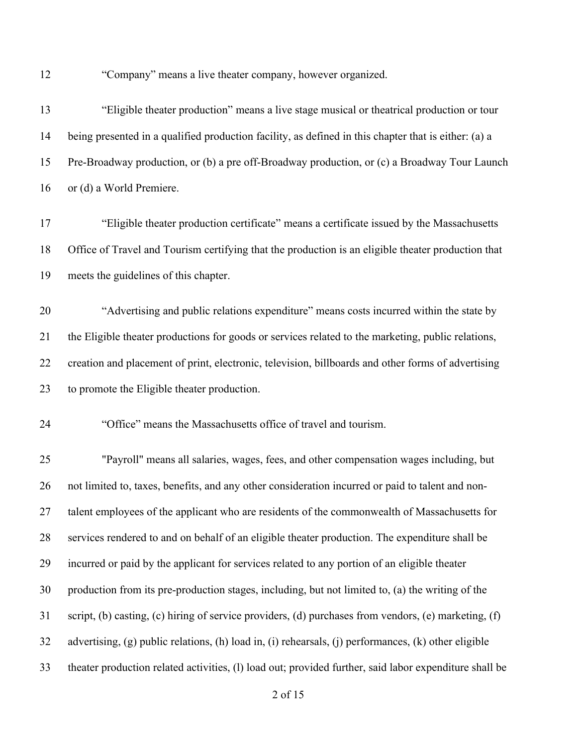"Company" means a live theater company, however organized.

| 13 | "Eligible theater production" means a live stage musical or theatrical production or tour              |
|----|--------------------------------------------------------------------------------------------------------|
| 14 | being presented in a qualified production facility, as defined in this chapter that is either: (a) a   |
| 15 | Pre-Broadway production, or (b) a pre off-Broadway production, or (c) a Broadway Tour Launch           |
| 16 | or (d) a World Premiere.                                                                               |
| 17 | "Eligible theater production certificate" means a certificate issued by the Massachusetts              |
| 18 | Office of Travel and Tourism certifying that the production is an eligible theater production that     |
| 19 | meets the guidelines of this chapter.                                                                  |
| 20 | "Advertising and public relations expenditure" means costs incurred within the state by                |
| 21 | the Eligible theater productions for goods or services related to the marketing, public relations,     |
| 22 | creation and placement of print, electronic, television, billboards and other forms of advertising     |
| 23 | to promote the Eligible theater production.                                                            |
| 24 | "Office" means the Massachusetts office of travel and tourism.                                         |
| 25 | "Payroll" means all salaries, wages, fees, and other compensation wages including, but                 |
| 26 | not limited to, taxes, benefits, and any other consideration incurred or paid to talent and non-       |
| 27 | talent employees of the applicant who are residents of the commonwealth of Massachusetts for           |
| 28 | services rendered to and on behalf of an eligible theater production. The expenditure shall be         |
| 29 | incurred or paid by the applicant for services related to any portion of an eligible theater           |
| 30 | production from its pre-production stages, including, but not limited to, (a) the writing of the       |
| 31 | script, (b) casting, (c) hiring of service providers, (d) purchases from vendors, (e) marketing, (f)   |
| 32 | advertising, (g) public relations, (h) load in, (i) rehearsals, (j) performances, (k) other eligible   |
| 33 | theater production related activities, (1) load out; provided further, said labor expenditure shall be |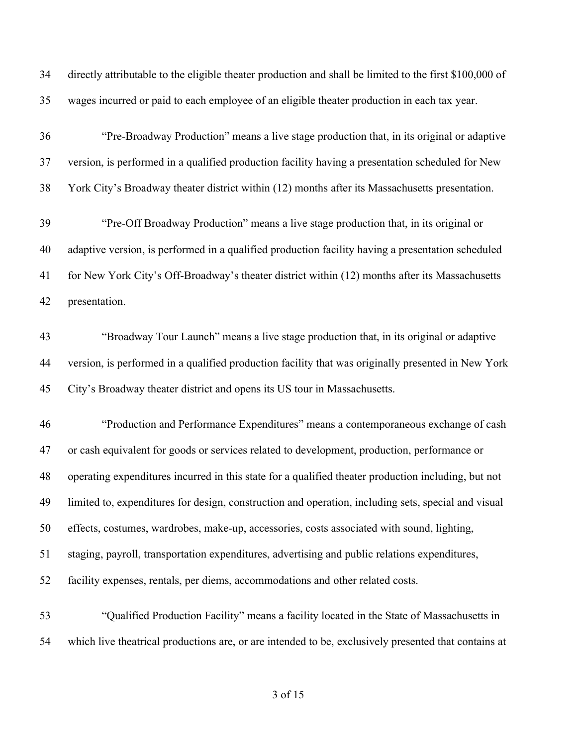directly attributable to the eligible theater production and shall be limited to the first \$100,000 of wages incurred or paid to each employee of an eligible theater production in each tax year.

 "Pre-Broadway Production" means a live stage production that, in its original or adaptive version, is performed in a qualified production facility having a presentation scheduled for New York City's Broadway theater district within (12) months after its Massachusetts presentation.

 "Pre-Off Broadway Production" means a live stage production that, in its original or adaptive version, is performed in a qualified production facility having a presentation scheduled for New York City's Off-Broadway's theater district within (12) months after its Massachusetts presentation.

 "Broadway Tour Launch" means a live stage production that, in its original or adaptive version, is performed in a qualified production facility that was originally presented in New York City's Broadway theater district and opens its US tour in Massachusetts.

 "Production and Performance Expenditures" means a contemporaneous exchange of cash or cash equivalent for goods or services related to development, production, performance or operating expenditures incurred in this state for a qualified theater production including, but not limited to, expenditures for design, construction and operation, including sets, special and visual effects, costumes, wardrobes, make-up, accessories, costs associated with sound, lighting, staging, payroll, transportation expenditures, advertising and public relations expenditures, facility expenses, rentals, per diems, accommodations and other related costs.

 "Qualified Production Facility" means a facility located in the State of Massachusetts in which live theatrical productions are, or are intended to be, exclusively presented that contains at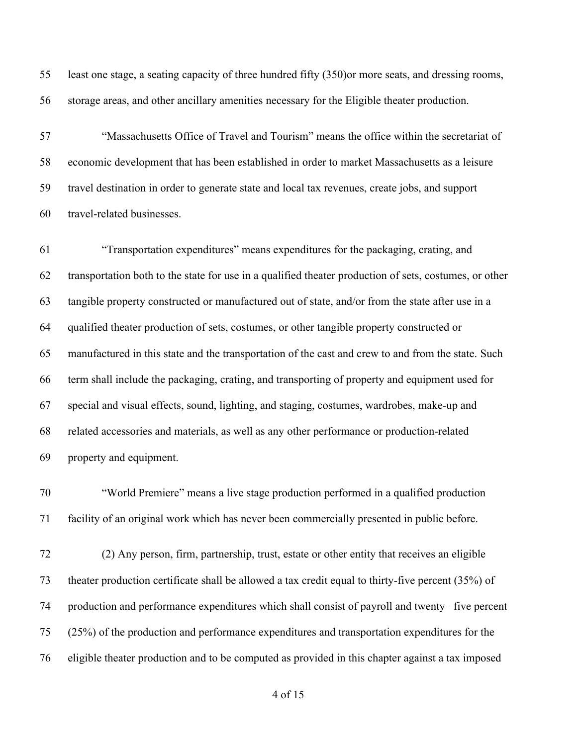least one stage, a seating capacity of three hundred fifty (350)or more seats, and dressing rooms, storage areas, and other ancillary amenities necessary for the Eligible theater production.

 "Massachusetts Office of Travel and Tourism" means the office within the secretariat of economic development that has been established in order to market Massachusetts as a leisure travel destination in order to generate state and local tax revenues, create jobs, and support travel-related businesses.

 "Transportation expenditures" means expenditures for the packaging, crating, and transportation both to the state for use in a qualified theater production of sets, costumes, or other tangible property constructed or manufactured out of state, and/or from the state after use in a qualified theater production of sets, costumes, or other tangible property constructed or manufactured in this state and the transportation of the cast and crew to and from the state. Such term shall include the packaging, crating, and transporting of property and equipment used for special and visual effects, sound, lighting, and staging, costumes, wardrobes, make-up and related accessories and materials, as well as any other performance or production-related property and equipment.

 "World Premiere" means a live stage production performed in a qualified production facility of an original work which has never been commercially presented in public before.

 (2) Any person, firm, partnership, trust, estate or other entity that receives an eligible theater production certificate shall be allowed a tax credit equal to thirty-five percent (35%) of production and performance expenditures which shall consist of payroll and twenty –five percent (25%) of the production and performance expenditures and transportation expenditures for the eligible theater production and to be computed as provided in this chapter against a tax imposed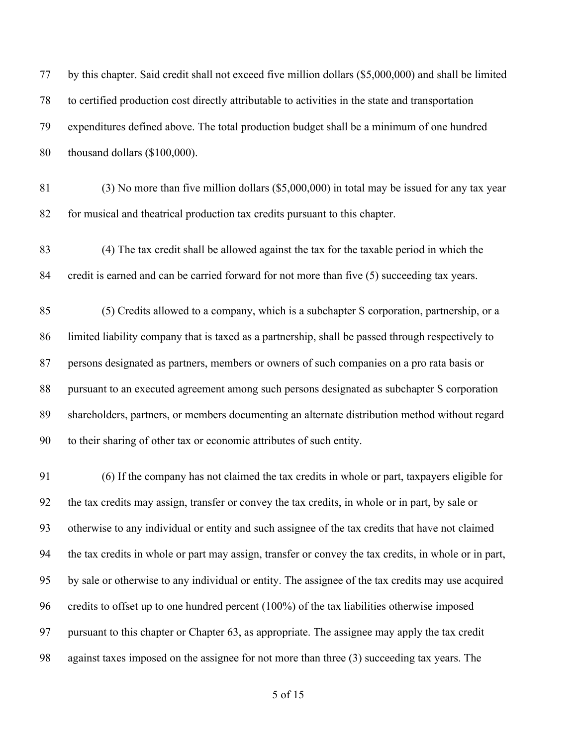| 77 | by this chapter. Said credit shall not exceed five million dollars (\$5,000,000) and shall be limited |
|----|-------------------------------------------------------------------------------------------------------|
| 78 | to certified production cost directly attributable to activities in the state and transportation      |
| 79 | expenditures defined above. The total production budget shall be a minimum of one hundred             |
| 80 | thousand dollars (\$100,000).                                                                         |
| 81 | $(3)$ No more than five million dollars (\$5,000,000) in total may be issued for any tax year         |
| 82 | for musical and theatrical production tax credits pursuant to this chapter.                           |
| 83 | (4) The tax credit shall be allowed against the tax for the taxable period in which the               |
| 84 | credit is earned and can be carried forward for not more than five (5) succeeding tax years.          |
| 85 | (5) Credits allowed to a company, which is a subchapter S corporation, partnership, or a              |
| 86 | limited liability company that is taxed as a partnership, shall be passed through respectively to     |
| 87 | persons designated as partners, members or owners of such companies on a pro rata basis or            |
| 88 | pursuant to an executed agreement among such persons designated as subchapter S corporation           |
| 89 | shareholders, partners, or members documenting an alternate distribution method without regard        |
| 90 | to their sharing of other tax or economic attributes of such entity.                                  |
| 91 | (6) If the company has not claimed the tax credits in whole or part, taxpayers eligible for           |
| 92 | the tax credits may assign, transfer or convey the tax credits, in whole or in part, by sale or       |
| 93 | otherwise to any individual or entity and such assignee of the tax credits that have not claimed      |
| 94 | the tax credits in whole or part may assign, transfer or convey the tax credits, in whole or in part, |
| 95 | by sale or otherwise to any individual or entity. The assignee of the tax credits may use acquired    |
| 96 | credits to offset up to one hundred percent (100%) of the tax liabilities otherwise imposed           |
| 97 | pursuant to this chapter or Chapter 63, as appropriate. The assignee may apply the tax credit         |

against taxes imposed on the assignee for not more than three (3) succeeding tax years. The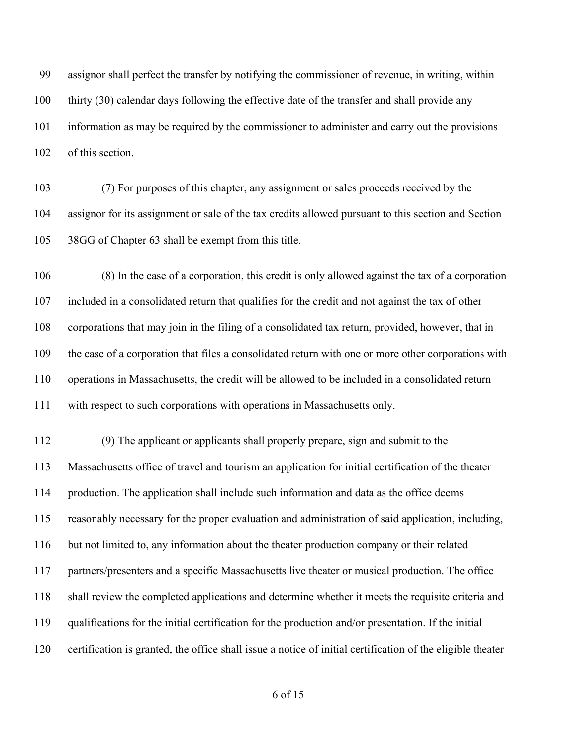assignor shall perfect the transfer by notifying the commissioner of revenue, in writing, within thirty (30) calendar days following the effective date of the transfer and shall provide any information as may be required by the commissioner to administer and carry out the provisions of this section.

 (7) For purposes of this chapter, any assignment or sales proceeds received by the assignor for its assignment or sale of the tax credits allowed pursuant to this section and Section 38GG of Chapter 63 shall be exempt from this title.

 (8) In the case of a corporation, this credit is only allowed against the tax of a corporation included in a consolidated return that qualifies for the credit and not against the tax of other corporations that may join in the filing of a consolidated tax return, provided, however, that in the case of a corporation that files a consolidated return with one or more other corporations with operations in Massachusetts, the credit will be allowed to be included in a consolidated return with respect to such corporations with operations in Massachusetts only.

 (9) The applicant or applicants shall properly prepare, sign and submit to the Massachusetts office of travel and tourism an application for initial certification of the theater production. The application shall include such information and data as the office deems reasonably necessary for the proper evaluation and administration of said application, including, but not limited to, any information about the theater production company or their related partners/presenters and a specific Massachusetts live theater or musical production. The office shall review the completed applications and determine whether it meets the requisite criteria and qualifications for the initial certification for the production and/or presentation. If the initial certification is granted, the office shall issue a notice of initial certification of the eligible theater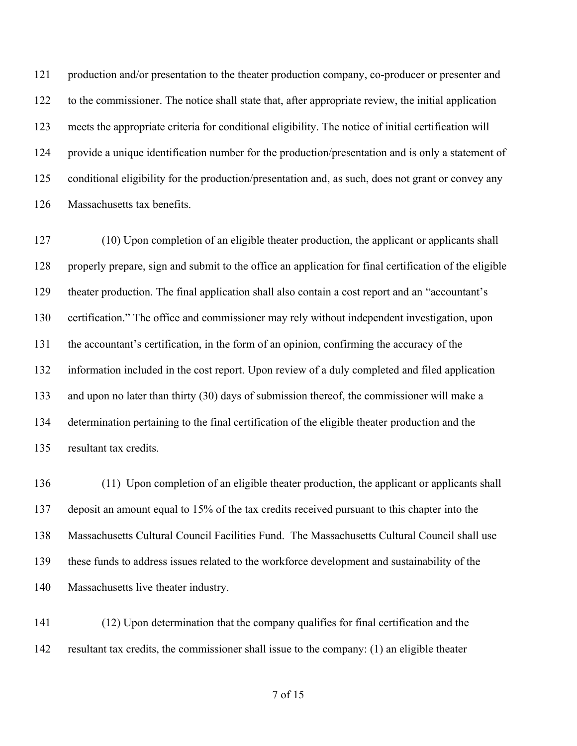production and/or presentation to the theater production company, co-producer or presenter and to the commissioner. The notice shall state that, after appropriate review, the initial application meets the appropriate criteria for conditional eligibility. The notice of initial certification will provide a unique identification number for the production/presentation and is only a statement of conditional eligibility for the production/presentation and, as such, does not grant or convey any Massachusetts tax benefits.

 (10) Upon completion of an eligible theater production, the applicant or applicants shall properly prepare, sign and submit to the office an application for final certification of the eligible theater production. The final application shall also contain a cost report and an "accountant's certification." The office and commissioner may rely without independent investigation, upon the accountant's certification, in the form of an opinion, confirming the accuracy of the information included in the cost report. Upon review of a duly completed and filed application and upon no later than thirty (30) days of submission thereof, the commissioner will make a determination pertaining to the final certification of the eligible theater production and the resultant tax credits.

 (11) Upon completion of an eligible theater production, the applicant or applicants shall deposit an amount equal to 15% of the tax credits received pursuant to this chapter into the Massachusetts Cultural Council Facilities Fund. The Massachusetts Cultural Council shall use these funds to address issues related to the workforce development and sustainability of the Massachusetts live theater industry.

 (12) Upon determination that the company qualifies for final certification and the resultant tax credits, the commissioner shall issue to the company: (1) an eligible theater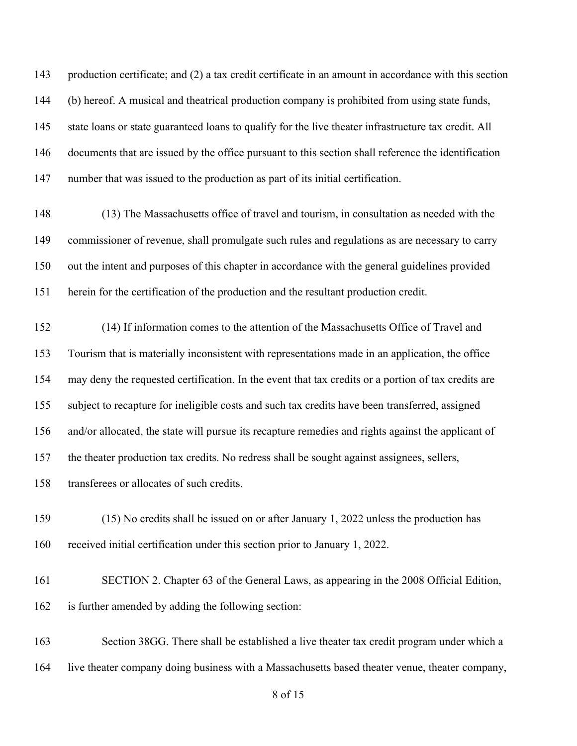production certificate; and (2) a tax credit certificate in an amount in accordance with this section (b) hereof. A musical and theatrical production company is prohibited from using state funds, state loans or state guaranteed loans to qualify for the live theater infrastructure tax credit. All documents that are issued by the office pursuant to this section shall reference the identification number that was issued to the production as part of its initial certification.

 (13) The Massachusetts office of travel and tourism, in consultation as needed with the commissioner of revenue, shall promulgate such rules and regulations as are necessary to carry out the intent and purposes of this chapter in accordance with the general guidelines provided herein for the certification of the production and the resultant production credit.

 (14) If information comes to the attention of the Massachusetts Office of Travel and Tourism that is materially inconsistent with representations made in an application, the office may deny the requested certification. In the event that tax credits or a portion of tax credits are subject to recapture for ineligible costs and such tax credits have been transferred, assigned and/or allocated, the state will pursue its recapture remedies and rights against the applicant of the theater production tax credits. No redress shall be sought against assignees, sellers, transferees or allocates of such credits.

 (15) No credits shall be issued on or after January 1, 2022 unless the production has received initial certification under this section prior to January 1, 2022.

 SECTION 2. Chapter 63 of the General Laws, as appearing in the 2008 Official Edition, is further amended by adding the following section:

 Section 38GG. There shall be established a live theater tax credit program under which a live theater company doing business with a Massachusetts based theater venue, theater company,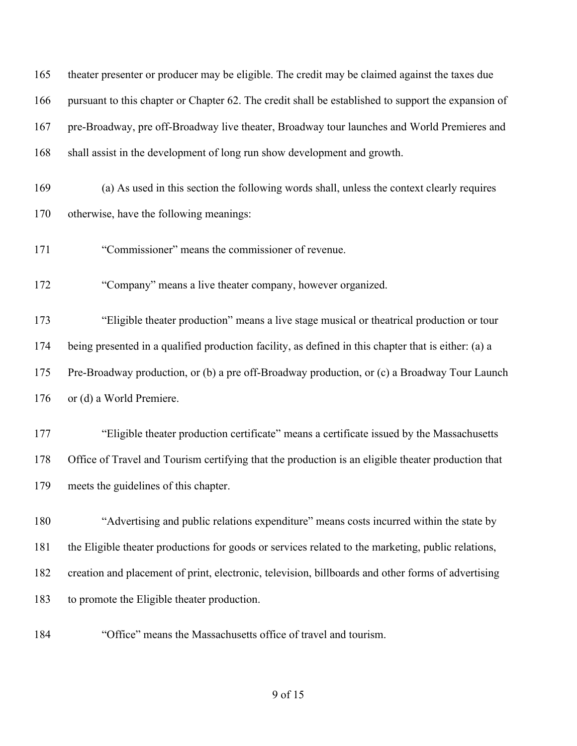| 165 | theater presenter or producer may be eligible. The credit may be claimed against the taxes due       |
|-----|------------------------------------------------------------------------------------------------------|
| 166 | pursuant to this chapter or Chapter 62. The credit shall be established to support the expansion of  |
| 167 | pre-Broadway, pre off-Broadway live theater, Broadway tour launches and World Premieres and          |
| 168 | shall assist in the development of long run show development and growth.                             |
| 169 | (a) As used in this section the following words shall, unless the context clearly requires           |
| 170 | otherwise, have the following meanings:                                                              |
| 171 | "Commissioner" means the commissioner of revenue.                                                    |
| 172 | "Company" means a live theater company, however organized.                                           |
| 173 | "Eligible theater production" means a live stage musical or theatrical production or tour            |
| 174 | being presented in a qualified production facility, as defined in this chapter that is either: (a) a |
| 175 | Pre-Broadway production, or (b) a pre off-Broadway production, or (c) a Broadway Tour Launch         |
| 176 | or (d) a World Premiere.                                                                             |
| 177 | "Eligible theater production certificate" means a certificate issued by the Massachusetts            |
| 178 | Office of Travel and Tourism certifying that the production is an eligible theater production that   |
| 179 | meets the guidelines of this chapter.                                                                |
| 180 | "Advertising and public relations expenditure" means costs incurred within the state by              |
| 181 | the Eligible theater productions for goods or services related to the marketing, public relations,   |
| 182 | creation and placement of print, electronic, television, billboards and other forms of advertising   |
| 183 | to promote the Eligible theater production.                                                          |
| 184 | "Office" means the Massachusetts office of travel and tourism.                                       |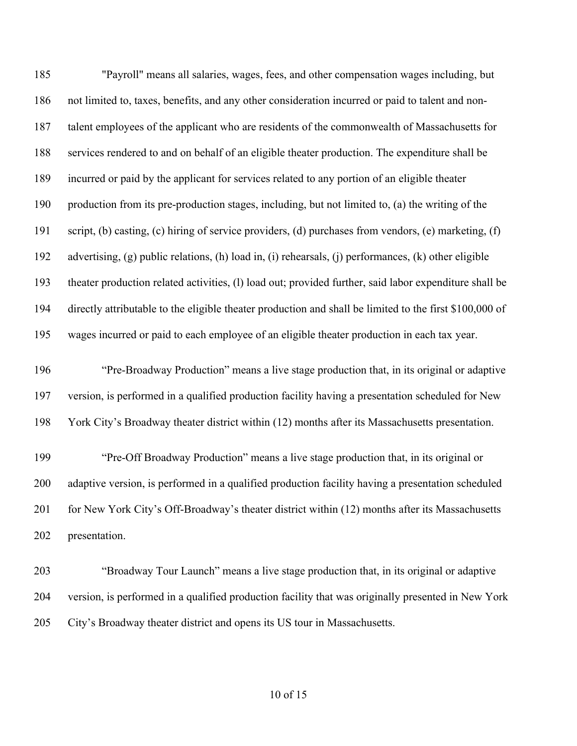"Payroll" means all salaries, wages, fees, and other compensation wages including, but not limited to, taxes, benefits, and any other consideration incurred or paid to talent and non- talent employees of the applicant who are residents of the commonwealth of Massachusetts for services rendered to and on behalf of an eligible theater production. The expenditure shall be incurred or paid by the applicant for services related to any portion of an eligible theater production from its pre-production stages, including, but not limited to, (a) the writing of the script, (b) casting, (c) hiring of service providers, (d) purchases from vendors, (e) marketing, (f) advertising, (g) public relations, (h) load in, (i) rehearsals, (j) performances, (k) other eligible theater production related activities, (l) load out; provided further, said labor expenditure shall be directly attributable to the eligible theater production and shall be limited to the first \$100,000 of wages incurred or paid to each employee of an eligible theater production in each tax year. "Pre-Broadway Production" means a live stage production that, in its original or adaptive version, is performed in a qualified production facility having a presentation scheduled for New York City's Broadway theater district within (12) months after its Massachusetts presentation. "Pre-Off Broadway Production" means a live stage production that, in its original or adaptive version, is performed in a qualified production facility having a presentation scheduled 201 for New York City's Off-Broadway's theater district within (12) months after its Massachusetts presentation.

 "Broadway Tour Launch" means a live stage production that, in its original or adaptive version, is performed in a qualified production facility that was originally presented in New York City's Broadway theater district and opens its US tour in Massachusetts.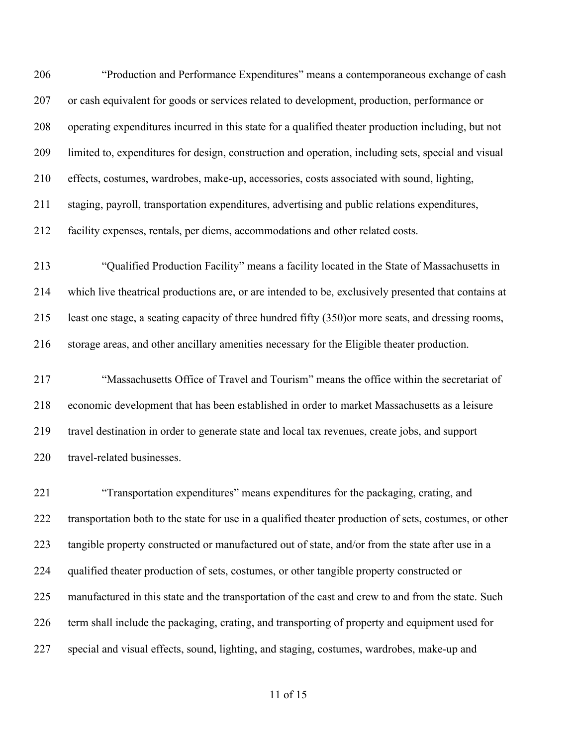"Production and Performance Expenditures" means a contemporaneous exchange of cash or cash equivalent for goods or services related to development, production, performance or operating expenditures incurred in this state for a qualified theater production including, but not limited to, expenditures for design, construction and operation, including sets, special and visual effects, costumes, wardrobes, make-up, accessories, costs associated with sound, lighting, staging, payroll, transportation expenditures, advertising and public relations expenditures, facility expenses, rentals, per diems, accommodations and other related costs.

 "Qualified Production Facility" means a facility located in the State of Massachusetts in which live theatrical productions are, or are intended to be, exclusively presented that contains at least one stage, a seating capacity of three hundred fifty (350)or more seats, and dressing rooms, storage areas, and other ancillary amenities necessary for the Eligible theater production.

 "Massachusetts Office of Travel and Tourism" means the office within the secretariat of economic development that has been established in order to market Massachusetts as a leisure travel destination in order to generate state and local tax revenues, create jobs, and support 220 travel-related businesses.

 "Transportation expenditures" means expenditures for the packaging, crating, and transportation both to the state for use in a qualified theater production of sets, costumes, or other 223 tangible property constructed or manufactured out of state, and/or from the state after use in a qualified theater production of sets, costumes, or other tangible property constructed or manufactured in this state and the transportation of the cast and crew to and from the state. Such term shall include the packaging, crating, and transporting of property and equipment used for special and visual effects, sound, lighting, and staging, costumes, wardrobes, make-up and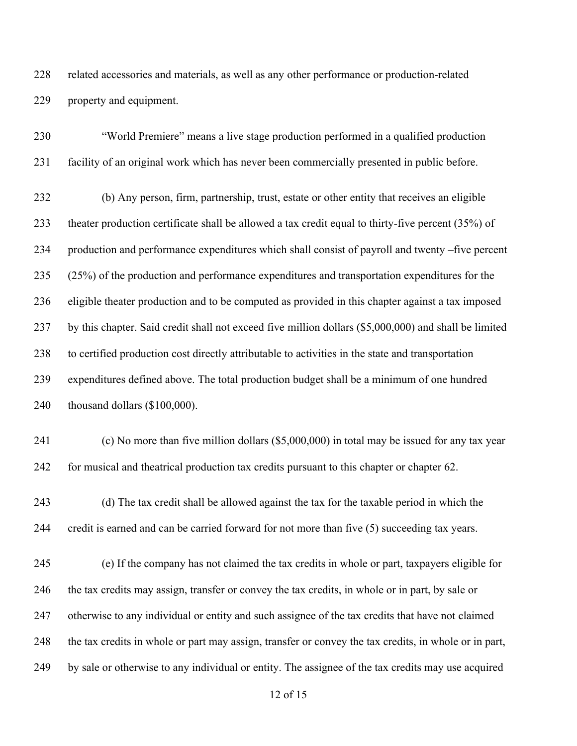related accessories and materials, as well as any other performance or production-related property and equipment.

 "World Premiere" means a live stage production performed in a qualified production facility of an original work which has never been commercially presented in public before. (b) Any person, firm, partnership, trust, estate or other entity that receives an eligible theater production certificate shall be allowed a tax credit equal to thirty-five percent (35%) of production and performance expenditures which shall consist of payroll and twenty –five percent (25%) of the production and performance expenditures and transportation expenditures for the eligible theater production and to be computed as provided in this chapter against a tax imposed by this chapter. Said credit shall not exceed five million dollars (\$5,000,000) and shall be limited to certified production cost directly attributable to activities in the state and transportation expenditures defined above. The total production budget shall be a minimum of one hundred thousand dollars (\$100,000).

 (c) No more than five million dollars (\$5,000,000) in total may be issued for any tax year for musical and theatrical production tax credits pursuant to this chapter or chapter 62.

 (d) The tax credit shall be allowed against the tax for the taxable period in which the credit is earned and can be carried forward for not more than five (5) succeeding tax years.

 (e) If the company has not claimed the tax credits in whole or part, taxpayers eligible for the tax credits may assign, transfer or convey the tax credits, in whole or in part, by sale or otherwise to any individual or entity and such assignee of the tax credits that have not claimed the tax credits in whole or part may assign, transfer or convey the tax credits, in whole or in part, by sale or otherwise to any individual or entity. The assignee of the tax credits may use acquired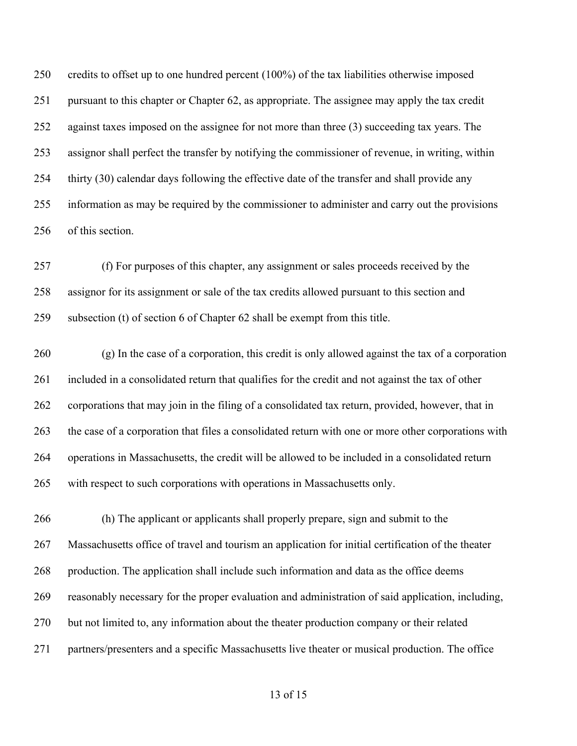credits to offset up to one hundred percent (100%) of the tax liabilities otherwise imposed pursuant to this chapter or Chapter 62, as appropriate. The assignee may apply the tax credit 252 against taxes imposed on the assignee for not more than three (3) succeeding tax years. The assignor shall perfect the transfer by notifying the commissioner of revenue, in writing, within thirty (30) calendar days following the effective date of the transfer and shall provide any information as may be required by the commissioner to administer and carry out the provisions of this section.

 (f) For purposes of this chapter, any assignment or sales proceeds received by the assignor for its assignment or sale of the tax credits allowed pursuant to this section and subsection (t) of section 6 of Chapter 62 shall be exempt from this title.

 (g) In the case of a corporation, this credit is only allowed against the tax of a corporation included in a consolidated return that qualifies for the credit and not against the tax of other corporations that may join in the filing of a consolidated tax return, provided, however, that in the case of a corporation that files a consolidated return with one or more other corporations with operations in Massachusetts, the credit will be allowed to be included in a consolidated return with respect to such corporations with operations in Massachusetts only.

 (h) The applicant or applicants shall properly prepare, sign and submit to the Massachusetts office of travel and tourism an application for initial certification of the theater production. The application shall include such information and data as the office deems reasonably necessary for the proper evaluation and administration of said application, including, but not limited to, any information about the theater production company or their related partners/presenters and a specific Massachusetts live theater or musical production. The office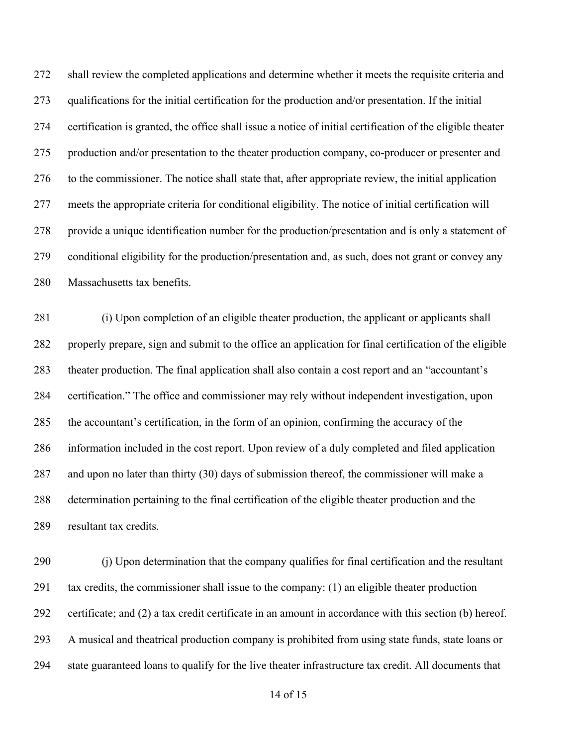shall review the completed applications and determine whether it meets the requisite criteria and qualifications for the initial certification for the production and/or presentation. If the initial certification is granted, the office shall issue a notice of initial certification of the eligible theater production and/or presentation to the theater production company, co-producer or presenter and to the commissioner. The notice shall state that, after appropriate review, the initial application meets the appropriate criteria for conditional eligibility. The notice of initial certification will provide a unique identification number for the production/presentation and is only a statement of conditional eligibility for the production/presentation and, as such, does not grant or convey any Massachusetts tax benefits.

 (i) Upon completion of an eligible theater production, the applicant or applicants shall properly prepare, sign and submit to the office an application for final certification of the eligible theater production. The final application shall also contain a cost report and an "accountant's certification." The office and commissioner may rely without independent investigation, upon the accountant's certification, in the form of an opinion, confirming the accuracy of the information included in the cost report. Upon review of a duly completed and filed application and upon no later than thirty (30) days of submission thereof, the commissioner will make a determination pertaining to the final certification of the eligible theater production and the resultant tax credits.

 (j) Upon determination that the company qualifies for final certification and the resultant tax credits, the commissioner shall issue to the company: (1) an eligible theater production certificate; and (2) a tax credit certificate in an amount in accordance with this section (b) hereof. A musical and theatrical production company is prohibited from using state funds, state loans or state guaranteed loans to qualify for the live theater infrastructure tax credit. All documents that